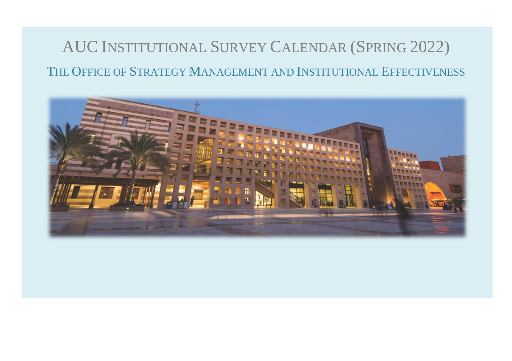## AUC INSTITUTIONAL SURVEY CALENDAR (SPRING 2022) THE OFFICE OF STRATEGY MANAGEMENT AND INSTITUTIONAL EFFECTIVENESS

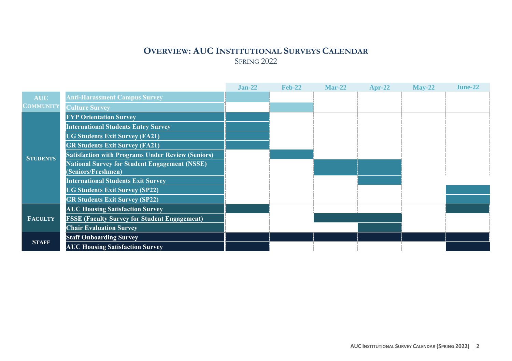## **OVERVIEW: AUC INSTITUTIONAL SURVEYS CALENDAR**  SPRING 2022

|                                |                                                                            | $Jan-22$ | <b>Feb-22</b> | <b>Mar-22</b> | $Apr-22$ | $May-22$ | June-22 |
|--------------------------------|----------------------------------------------------------------------------|----------|---------------|---------------|----------|----------|---------|
| <b>AUC</b><br><b>COMMUNITY</b> | <b>Anti-Harassment Campus Survey</b>                                       |          |               |               |          |          |         |
|                                | <b>Culture Survey</b>                                                      |          |               |               |          |          |         |
| <b>STUDENTS</b>                | <b>FYP Orientation Survey</b>                                              |          |               |               |          |          |         |
|                                | <b>International Students Entry Survey</b>                                 |          |               |               |          |          |         |
|                                | <b>UG Students Exit Survey (FA21)</b>                                      |          |               |               |          |          |         |
|                                | <b>GR Students Exit Survey (FA21)</b>                                      |          |               |               |          |          |         |
|                                | <b>Satisfaction with Programs Under Review (Seniors)</b>                   |          |               |               |          |          |         |
|                                | <b>National Survey for Student Engagement (NSSE)</b><br>(Seniors/Freshmen) |          |               |               |          |          |         |
|                                | <b>International Students Exit Survey</b>                                  |          |               |               |          |          |         |
|                                | <b>UG Students Exit Survey (SP22)</b>                                      |          |               |               |          |          |         |
|                                | <b>GR Students Exit Survey (SP22)</b>                                      |          |               |               |          |          |         |
| <b>FACULTY</b>                 | <b>AUC Housing Satisfaction Survey</b>                                     |          |               |               |          |          |         |
|                                | <b>FSSE (Faculty Survey for Student Engagement)</b>                        |          |               |               |          |          |         |
|                                | <b>Chair Evaluation Survey</b>                                             |          |               |               |          |          |         |
| <b>STAFF</b>                   | <b>Staff Onboarding Survey</b>                                             |          |               |               |          |          |         |
|                                | <b>AUC Housing Satisfaction Survey</b>                                     |          |               |               |          |          |         |